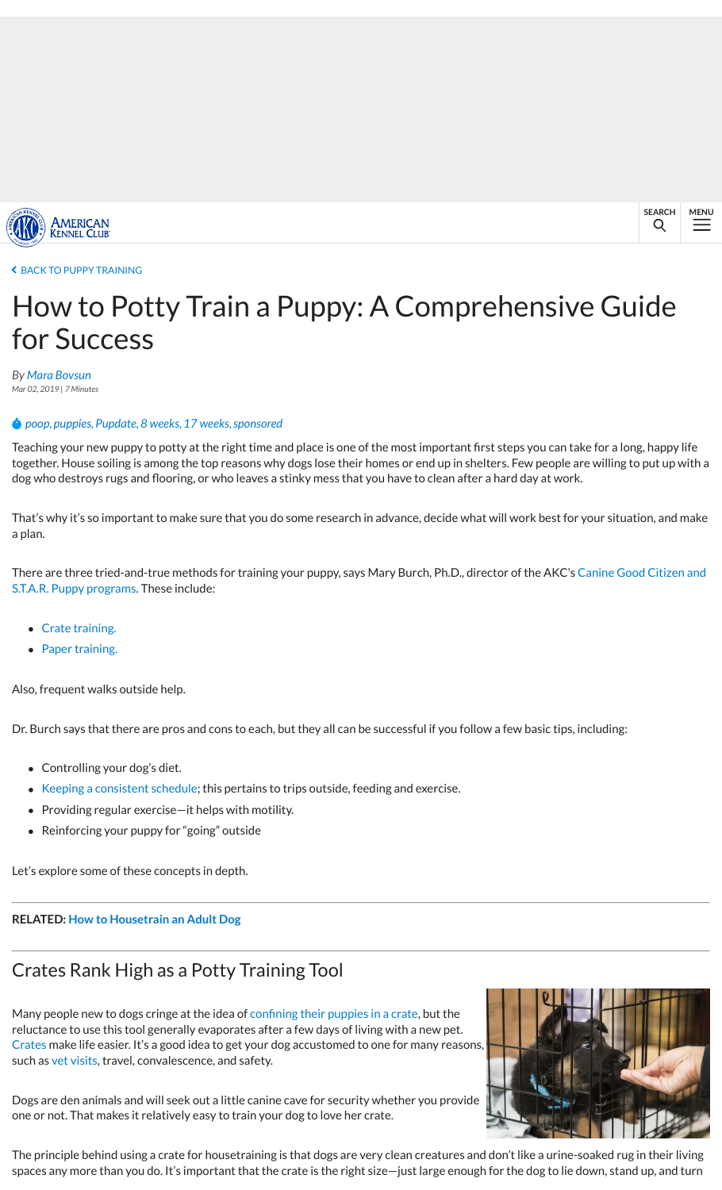- Crate training.
- Paper training.

Also, frequent walks outside help.

Dr. Burch says that there are pros and cons to each, but they all can be successful if you

- Controlling your dog's diet.
- Keeping a consistent schedule; this pertains to trips outside, feeding and exercise
- Providing regular exercise—it helps with motility.
- [Reinforcing y](https://www.akc.org/)our puppy for "going" outside

[Let's explore some of thes](https://www.akc.org/expert-advice/training/puppy-training/)e concepts in depth.

#### **RELATED: How to Housetrain an Adult Dog**

### C[rates Ran](https://www.akc.org/author/mara-bovsun/)k High as a Potty Training Tool

Many people new to dogs cringe at the idea of confining their puppies in a crate, but the re[luctan](https://www.akc.org/tag/poop/)[ce to us](https://www.akc.org/tag/puppies/)[e this too](https://www.akc.org/tag/pupdate/)[l genera](https://www.akc.org/tag/8-weeks/)[lly evapor](https://www.akc.org/tag/17-weeks/)[ates after](https://www.akc.org/tag/sponsored/) a few days of living with a new pe Crates make life easier. It's a good idea to get your dog accustomed to one for many reas such as vet visits, travel, convalescence, and safety.

Dogs are den animals and will seek out a little canine cave for security whether you pro one or not. That makes it relatively easy to train your dog to love her crate.

The principle behind using a crate for housetraining is that dogs are very clean creature spaces any more than you do. It's important that the crate is the right size-just large en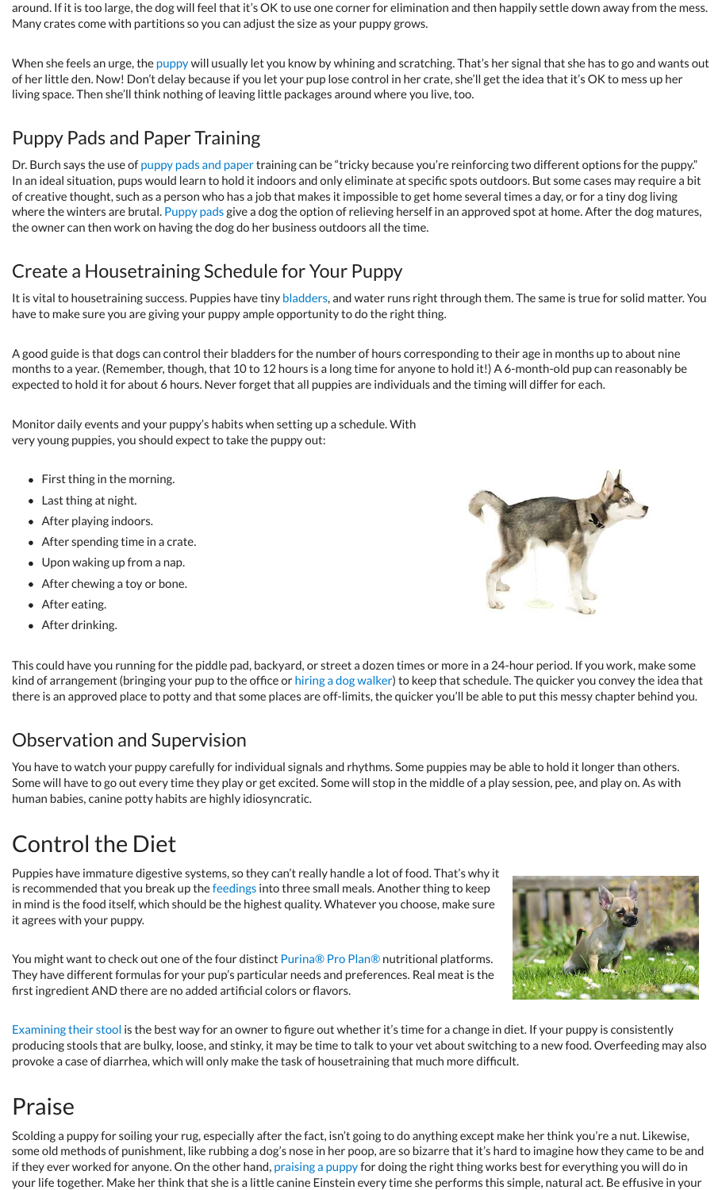- After eating.
- After drinking.

This could have you running [for the](https://www.akc.org/puppies/) piddle pad, backyard, or street a dozen times or mo kind of arrangement (bringing your pup to the office or hiring a dog walker) to keep tha there is an approved place to potty and that some places are off-limits, the quicker you.

### Observation and Supervision

You have to watch your [puppy carefully for indi](https://www.akc.org/expert-advice/training/puppy-training/the-ins-and-outs-of-potty-pad-training/)vidual signals and rhythms. Some puppi Some will have to go out every time they play or get excited. Some will stop in the midd human babies, canine potty habits are highly idiosyncratic.

## Control the Diet

Puppies have immature digestive systems, so they can't really handle a lot of food. That is recommended that you break up the feedings into three small meals. Another thing t in mind is the food itself, which should be the highest [quality. W](http://www.vetmed.wsu.edu/ClientED/anatomy/dog_ug.aspx)hatever you choose, ma it agrees with your puppy.

You might want to check out one of the four distinct Purina® Pro Plan® nutritional pla They have different formulas for your pup's particular needs and preferences. Real meat first ingredient AND there are no added artificial colors or flavors.

Examining their stool is the best way for an owner to figure out whether it's time for a diet. If your puppe in diet. If your puppe in diet. If your puppe in diet. If your puppe is consistent and the form of  $\alpha$  or  $\alpha$ producing stools that are bulky, loose, and stinky, it may be time to talk to your vet abo provoke a case of diarrhea, which will only make the task of housetraining that much m

## Praise

Scolding a puppy for soiling your rug, especially after the fact, isn't going to do anything some old methods of punishment, like rubbing a dog's nose in her poop, are so bizarre t if they ever worked for anyone. On the other hand, praising a puppy for doing the right your life together. Make her think that she is a little canine Einstein every time she perf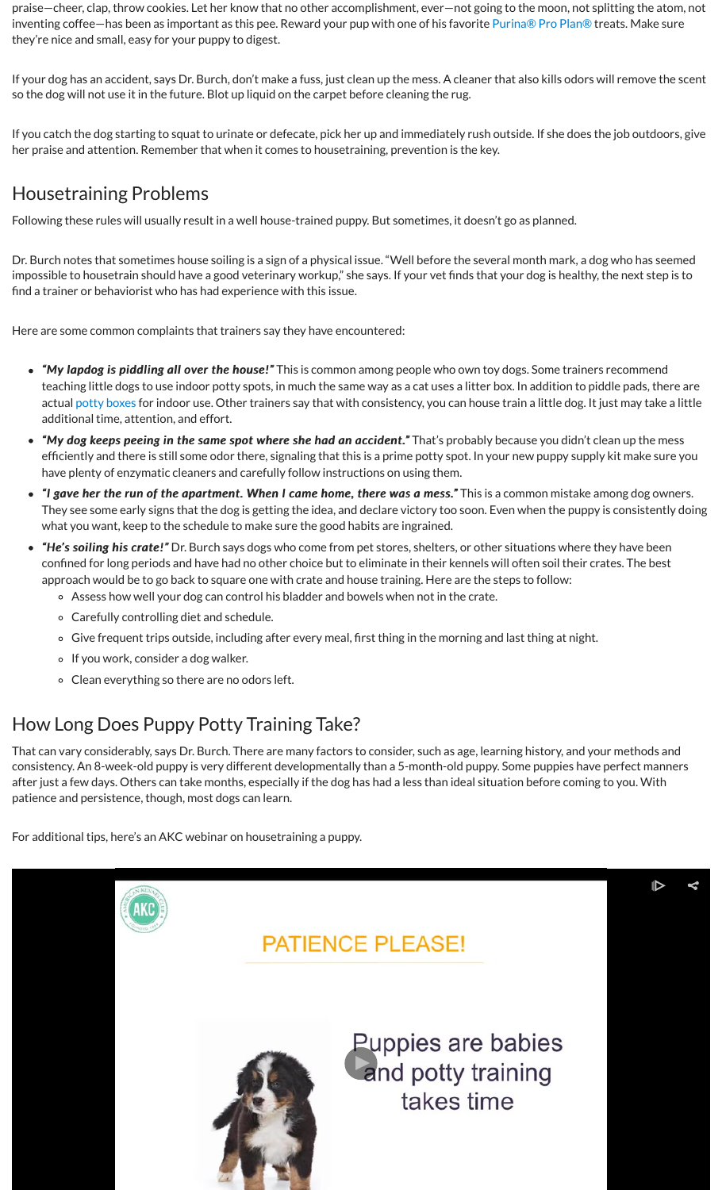- Assess how well your dog can control his bladder and bowels when not in the crate.
	- Carefully controlling diet and schedule.
	- $\circ$  Give frequent trips outside, including after every meal, first thing in the mo
	- o If you work, consider a dog walker.
	- Clean everything so there are no odors left.

### How Long Does Puppy Potty Training Take?

That can vary considerably, says Dr. Burch. There are many factors to consider, such as consistency. An 8-week-old puppy is very different developmentally than a 5-month-old pupping pupping and pupp after just a few days. Others can take months, especially if the dog has had a less than id patience and persistence, though, most dogs can learn.

For additional tips, here's an AKC webinar on housetraining a puppy.

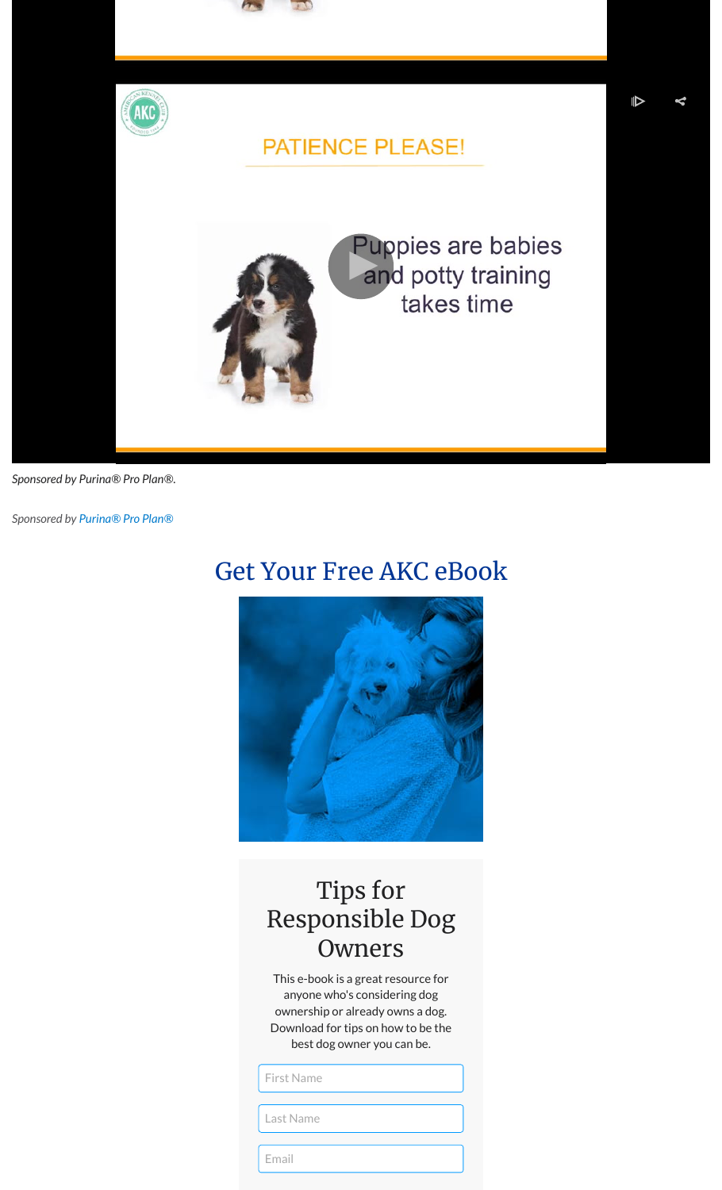

## Tips for Responsible Dog Owners

This e-book is a great resource for anyone who's considering dog ownership or already owns a dog. Download for tips on how to be the best dog owner you can be.

#### First Name

Last Name

Email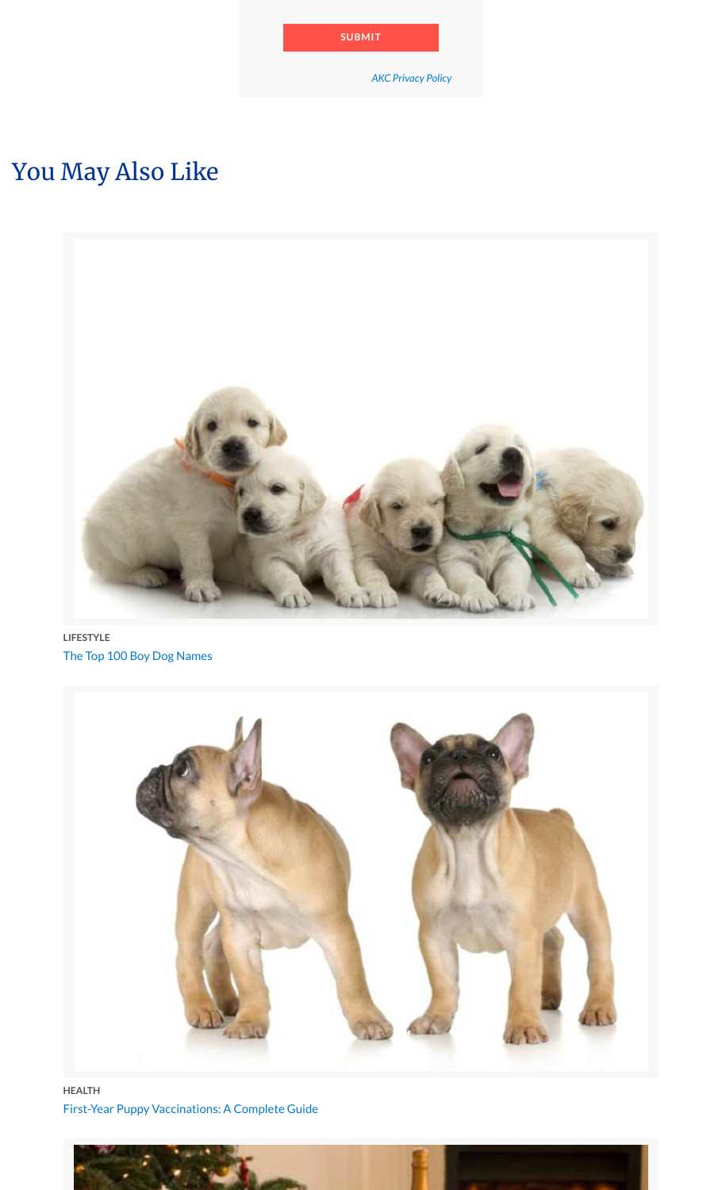#### The Top 100 Boy Dog Names **LIFESTYLE**



### [First-Year Puppy Vaccinations: A Complete Guide](https://www.akc.org/expert-advice/lifestyle/top-100-boy-dog-names/) **HEALTH**

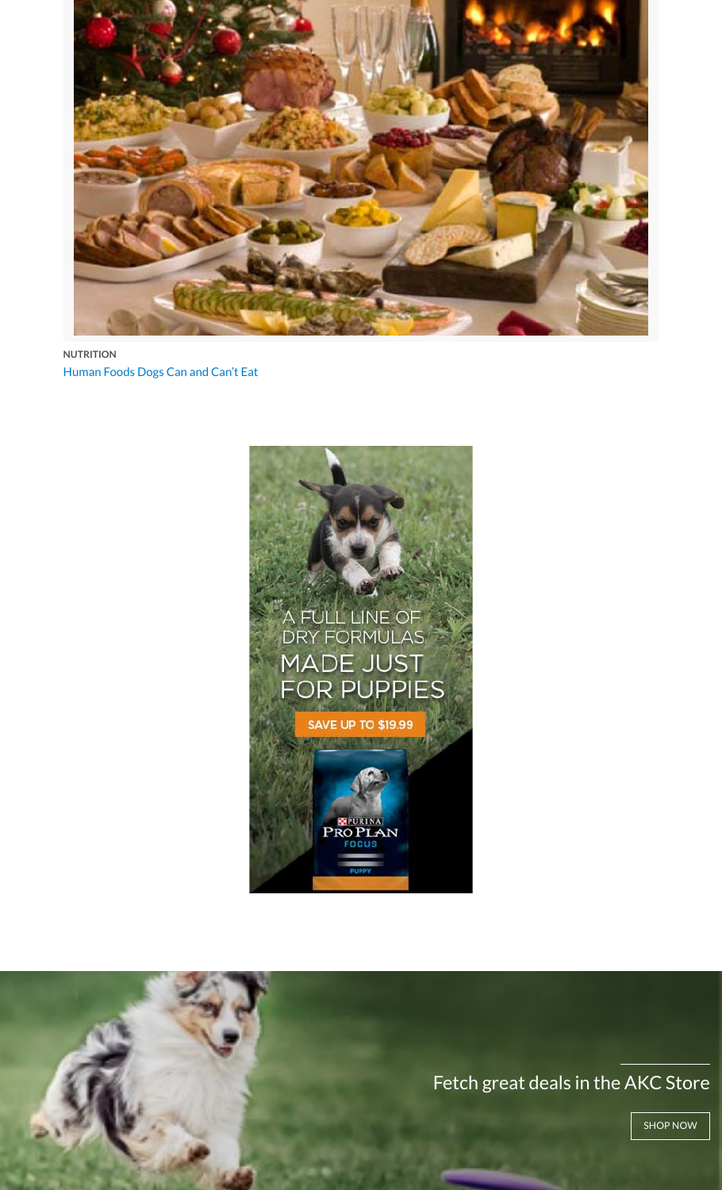# A FULL LINE OF<br>DRY FORMULAS **MADE JUST FOR PUPPIES**

**SAVE UP TO \$19.99**